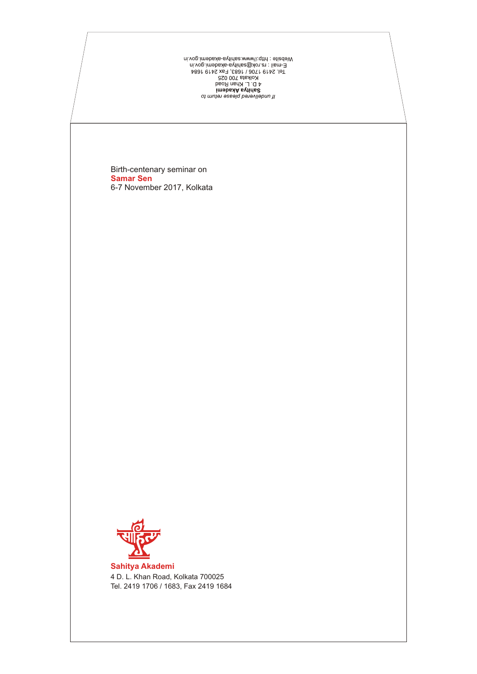on muhan əssəlq bərəviləbnu 1l məhsəlq bərəviləmin dərəviləmin bərəviləmin bərəviləmin bərəviləmin bərəviləmin<br>hol: 2419 1706 / 1683, Fax 2419 1684<br>1683, Fax 2419 1684<br>hol: 15 nok@ademin bərəviləmin bərəviləmin<br>1995: İlis

Birth-centenary seminar on 6-7 November 2017, Kolkata **Samar Sen**



**Sahitya Akademi** 4 D. L. Khan Road, Kolkata 700025 Tel. 2419 1706 / 1683, Fax 2419 1684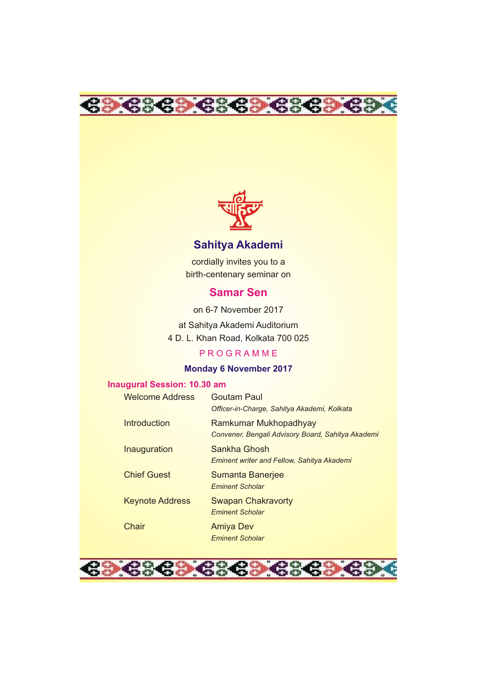



# **Sahitya Akademi**

cordially invites you to a birth-centenary seminar on

# **Samar Sen**

on 6-7 November 2017

at Sahitya Akademi Auditorium 4 D. L. Khan Road, Kolkata 700 025

#### P R O G R A M M E

#### **Monday 6 November 2017**

### **Inaugural Session: 10.30 am**

| <b>Welcome Address</b> | Goutam Paul<br>Officer-in-Charge, Sahitya Akademi, Kolkata                 |
|------------------------|----------------------------------------------------------------------------|
| Introduction           | Ramkumar Mukhopadhyay<br>Convener, Bengali Advisory Board, Sahitya Akademi |
| Inauguration           | Sankha Ghosh<br><b>Eminent writer and Fellow, Sahitya Akademi</b>          |
| <b>Chief Guest</b>     | Sumanta Banerjee<br><b>Eminent Scholar</b>                                 |
| <b>Keynote Address</b> | <b>Swapan Chakravorty</b><br><b>Eminent Scholar</b>                        |
| Chair                  | Amiya Dev<br><b>Eminent Scholar</b>                                        |

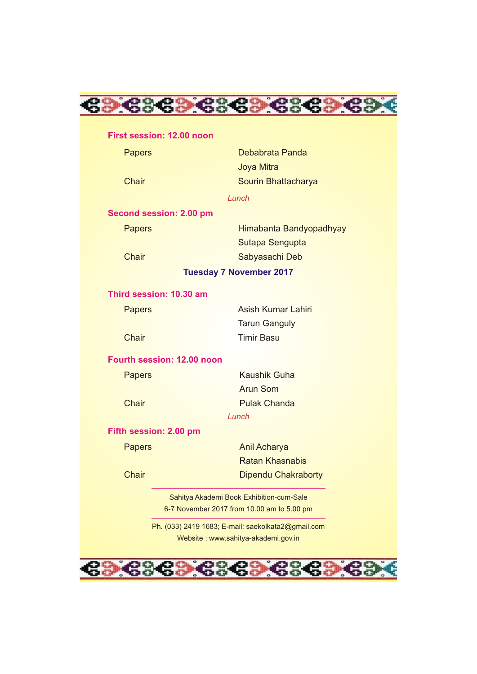

#### **First session: 12.00 noon**

| <b>Papers</b> |                            | Debabrata Panda                                    |
|---------------|----------------------------|----------------------------------------------------|
|               |                            | Joya Mitra                                         |
| Chair         |                            | Sourin Bhattacharya                                |
|               |                            | Lunch                                              |
|               | Second session: 2.00 pm    |                                                    |
| <b>Papers</b> |                            | Himabanta Bandyopadhyay                            |
|               |                            | Sutapa Sengupta                                    |
| Chair         |                            | Sabyasachi Deb                                     |
|               |                            | <b>Tuesday 7 November 2017</b>                     |
|               | Third session: 10.30 am    |                                                    |
| <b>Papers</b> |                            | <b>Asish Kumar Lahiri</b>                          |
|               |                            | <b>Tarun Ganguly</b>                               |
| Chair         |                            | <b>Timir Basu</b>                                  |
|               | Fourth session: 12.00 noon |                                                    |
| <b>Papers</b> |                            | Kaushik Guha                                       |
|               |                            | Arun Som                                           |
| Chair         |                            | <b>Pulak Chanda</b>                                |
|               |                            | Lunch                                              |
|               | Fifth session: 2.00 pm     |                                                    |
| <b>Papers</b> |                            | <b>Anil Acharya</b>                                |
|               |                            | <b>Ratan Khasnabis</b>                             |
| Chair         |                            | <b>Dipendu Chakraborty</b>                         |
|               |                            | Sahitya Akademi Book Exhibition-cum-Sale           |
|               |                            | 6-7 November 2017 from 10.00 am to 5.00 pm         |
|               |                            | Ph. (033) 2419 1683; E-mail: saekolkata2@gmail.com |
|               |                            | Website: www.sahitya-akademi.gov.in                |

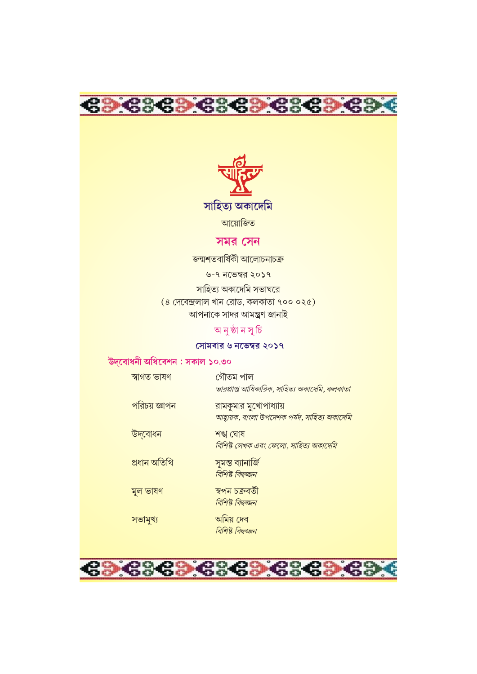



# সমর সেন

জন্মশতবাৰ্ষিকী আলোচনাচক্ৰ

৬-৭ নভেম্বর ২০১৭

সাহিত্য অকাদেমি সভাঘরে  $(8 \pi 32)$  দেবেন্দ্রলাল খান রোড, কলকাতা ৭০০ ০২৫) <mark>আপনাকে সাদর আমন্ত্রণ জানাই</mark>

# অনুষ্ঠানসূচি

### সোমবার ৬ নভেম্বর ২০১৭

## উদবোধনী অধিবেশন : সকাল ১০.৩০

| পরিচয় জ্ঞাপন<br>রামকুমার মুখোপাধ্যায়<br>আহ্বায়ক, বাংলা উপদেশক পর্যদ, সাহিত্য অকাদেমি<br>উদ্বোধন<br>শঙ্খ ঘোষ<br>বিশিষ্ট লেখক এবং ফেলো, সাহিত্য অকাদেমি<br>প্ৰধান অতিথি<br>সুমন্ত ব্যানাৰ্জি<br>বিশিষ্ট বিদ্বজ্জন<br>স্বপন চক্ৰবৰ্তী<br>মূল ভাষণ<br>বিশিষ্ট বিদ্বজ্জন<br>অমিয় দেব<br>সভামুখ্য<br>বিশিষ্ট বিদ্বজ্জন | স্বাগত ভাষণ | গৌতম পাল<br>ভারপ্রাপ্ত আধিকারিক, সাহিত্য অকাদেমি, কলকাতা |
|----------------------------------------------------------------------------------------------------------------------------------------------------------------------------------------------------------------------------------------------------------------------------------------------------------------------|-------------|----------------------------------------------------------|
|                                                                                                                                                                                                                                                                                                                      |             |                                                          |
|                                                                                                                                                                                                                                                                                                                      |             |                                                          |
|                                                                                                                                                                                                                                                                                                                      |             |                                                          |
|                                                                                                                                                                                                                                                                                                                      |             |                                                          |
|                                                                                                                                                                                                                                                                                                                      |             |                                                          |